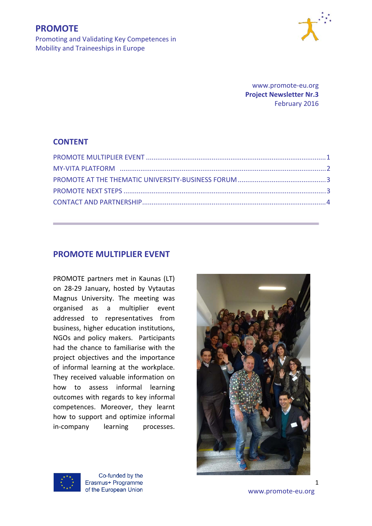

Promoting and Validating Key Competences in Mobility and Traineeships in Europe

> www.promote‐eu.org  **Project Newsletter Nr.3**  February 2016

## **CONTENT**

## **PROMOTE MULTIPLIER EVENT**

PROMOTE partners met in Kaunas (LT) on 28‐29 January, hosted by Vytautas Magnus University. The meeting was organised as a multiplier event addressed to representatives from business, higher education institutions, NGOs and policy makers. Participants had the chance to familiarise with the project objectives and the importance of informal learning at the workplace. They received valuable information on how to assess informal learning outcomes with regards to key informal competences. Moreover, they learnt how to support and optimize informal in‐company learning processes.





Co-funded by the Erasmus+ Programme

of the European Union www.promote-eu.org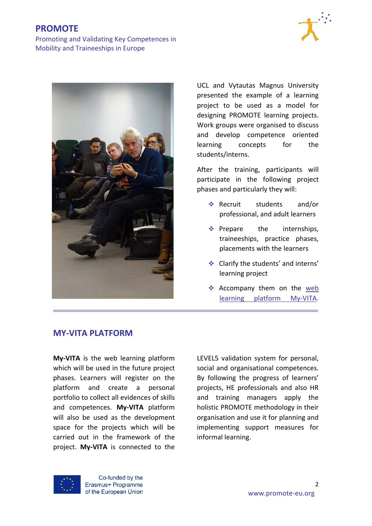# **PROMOTE**

Promoting and Validating Key Competences in Mobility and Traineeships in Europe





UCL and Vytautas Magnus University presented the example of a learning project to be used as a model for designing PROMOTE learning projects. Work groups were organised to discuss and develop competence oriented learning concepts for the students/interns.

After the training, participants will participate in the following project phases and particularly they will:

- Recruit students and/or professional, and adult learners
- $\triangleleft$  Prepare the internships, traineeships, practice phases, placements with the learners
- Clarify the students' and interns' learning project
- \* Accompany them on the web learning platform My‐VITA.

## **MY‐VITA PLATFORM**

**My‐VITA** is the web learning platform which will be used in the future project phases. Learners will register on the platform and create a personal portfolio to collect all evidences of skills and competences. **My‐VITA** platform will also be used as the development space for the projects which will be carried out in the framework of the project. **My‐VITA** is connected to the

LEVEL5 validation system for personal, social and organisational competences. By following the progress of learners' projects, HE professionals and also HR and training managers apply the holistic PROMOTE methodology in their organisation and use it for planning and implementing support measures for informal learning.



Co-funded by the Erasmus+ Programme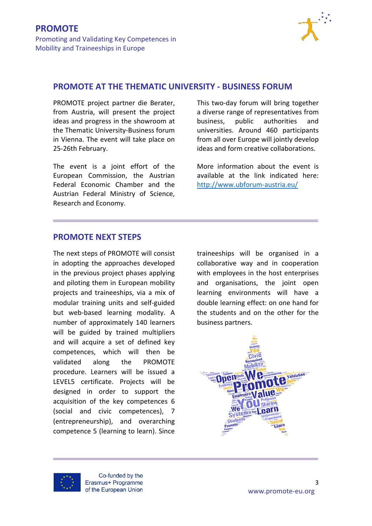

### **PROMOTE AT THE THEMATIC UNIVERSITY ‐ BUSINESS FORUM**

PROMOTE project partner die Berater, from Austria, will present the project ideas and progress in the showroom at the Thematic University‐Business forum in Vienna. The event will take place on 25‐26th February.

The event is a joint effort of the European Commission, the Austrian Federal Economic Chamber and the Austrian Federal Ministry of Science, Research and Economy.

This two‐day forum will bring together a diverse range of representatives from business, public authorities and universities. Around 460 participants from all over Europe will jointly develop ideas and form creative collaborations.

More information about the event is available at the link indicated here: http://www.ubforum‐austria.eu/

# **PROMOTE NEXT STEPS**

The next steps of PROMOTE will consist in adopting the approaches developed in the previous project phases applying and piloting them in European mobility projects and traineeships, via a mix of modular training units and self‐guided but web‐based learning modality. A number of approximately 140 learners will be guided by trained multipliers and will acquire a set of defined key competences, which will then be validated along the PROMOTE procedure. Learners will be issued a LEVEL5 certificate. Projects will be designed in order to support the acquisition of the key competences 6 (social and civic competences), 7 (entrepreneurship), and overarching competence 5 (learning to learn). Since

traineeships will be organised in a collaborative way and in cooperation with employees in the host enterprises and organisations, the joint open learning environments will have a double learning effect: on one hand for the students and on the other for the business partners.